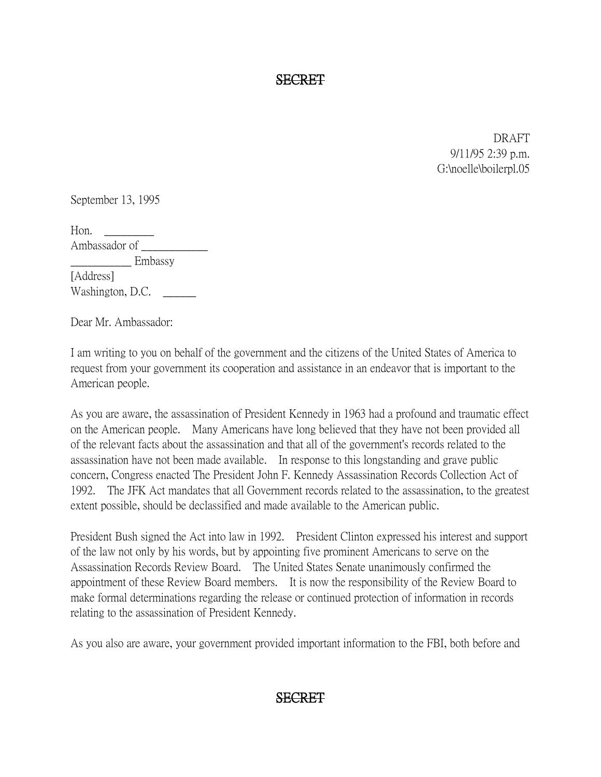SECRET

DRAFT 9/11/95 2:39 p.m. G:\noelle\boilerpl.05

September 13, 1995

Hon. \_\_\_\_\_\_\_\_\_ Ambassador of \_\_\_\_\_\_\_\_\_\_\_\_ \_\_\_\_\_\_\_\_\_\_\_ Embassy [Address] Washington, D.C.

Dear Mr. Ambassador:

I am writing to you on behalf of the government and the citizens of the United States of America to request from your government its cooperation and assistance in an endeavor that is important to the American people.

As you are aware, the assassination of President Kennedy in 1963 had a profound and traumatic effect on the American people. Many Americans have long believed that they have not been provided all of the relevant facts about the assassination and that all of the government's records related to the assassination have not been made available. In response to this longstanding and grave public concern, Congress enacted The President John F. Kennedy Assassination Records Collection Act of 1992. The JFK Act mandates that all Government records related to the assassination, to the greatest extent possible, should be declassified and made available to the American public.

President Bush signed the Act into law in 1992. President Clinton expressed his interest and support of the law not only by his words, but by appointing five prominent Americans to serve on the Assassination Records Review Board. The United States Senate unanimously confirmed the appointment of these Review Board members. It is now the responsibility of the Review Board to make formal determinations regarding the release or continued protection of information in records relating to the assassination of President Kennedy.

As you also are aware, your government provided important information to the FBI, both before and

## SECRET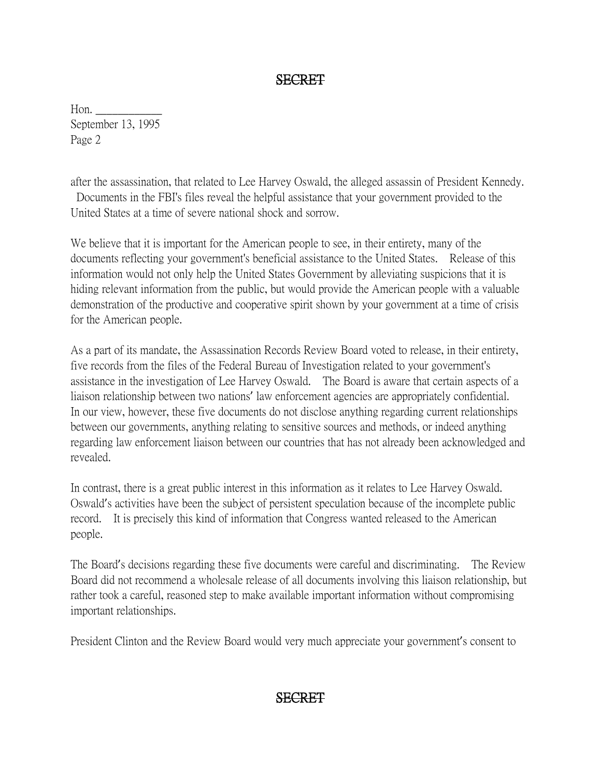## SECRET

Hon. \_\_\_\_\_\_\_\_\_\_\_\_ September 13, 1995 Page 2

after the assassination, that related to Lee Harvey Oswald, the alleged assassin of President Kennedy. Documents in the FBI's files reveal the helpful assistance that your government provided to the United States at a time of severe national shock and sorrow.

We believe that it is important for the American people to see, in their entirety, many of the documents reflecting your government's beneficial assistance to the United States. Release of this information would not only help the United States Government by alleviating suspicions that it is hiding relevant information from the public, but would provide the American people with a valuable demonstration of the productive and cooperative spirit shown by your government at a time of crisis for the American people.

As a part of its mandate, the Assassination Records Review Board voted to release, in their entirety, five records from the files of the Federal Bureau of Investigation related to your government's assistance in the investigation of Lee Harvey Oswald. The Board is aware that certain aspects of a liaison relationship between two nations' law enforcement agencies are appropriately confidential. In our view, however, these five documents do not disclose anything regarding current relationships between our governments, anything relating to sensitive sources and methods, or indeed anything regarding law enforcement liaison between our countries that has not already been acknowledged and revealed.

In contrast, there is a great public interest in this information as it relates to Lee Harvey Oswald. Oswald's activities have been the subject of persistent speculation because of the incomplete public record. It is precisely this kind of information that Congress wanted released to the American people.

The Board's decisions regarding these five documents were careful and discriminating. The Review Board did not recommend a wholesale release of all documents involving this liaison relationship, but rather took a careful, reasoned step to make available important information without compromising important relationships.

President Clinton and the Review Board would very much appreciate your government's consent to

## SECRET